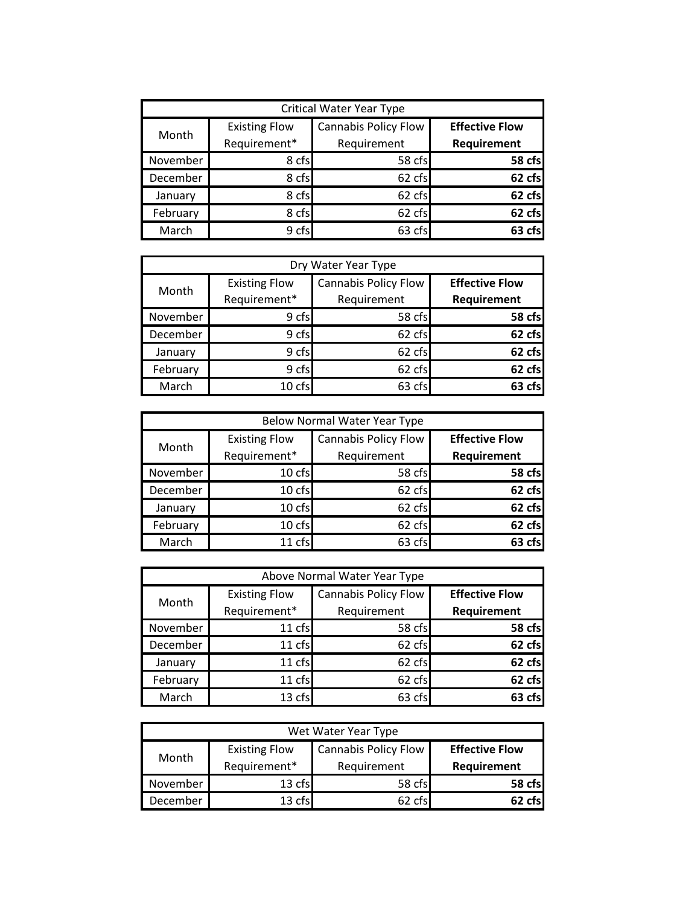| <b>Critical Water Year Type</b> |                                      |                                            |                                      |
|---------------------------------|--------------------------------------|--------------------------------------------|--------------------------------------|
| Month                           | <b>Existing Flow</b><br>Requirement* | <b>Cannabis Policy Flow</b><br>Requirement | <b>Effective Flow</b><br>Requirement |
| November                        | 8 cfs                                | 58 cfs                                     | 58 cfs                               |
| December                        | 8 cfs                                | 62 cfs                                     | 62 cfs                               |
| January                         | 8 cfs                                | 62 cfs                                     | 62 cfs                               |
| February                        | 8 cfs                                | 62 cfs                                     | 62 cfs                               |
| March                           | 9 cfs                                | 63 cfs                                     |                                      |

| Dry Water Year Type |                      |                             |                       |  |
|---------------------|----------------------|-----------------------------|-----------------------|--|
| Month               | <b>Existing Flow</b> | <b>Cannabis Policy Flow</b> | <b>Effective Flow</b> |  |
|                     | Requirement*         | Requirement                 | Requirement           |  |
| November            | 9 cfs                | 58 cfs                      | 58 cfs                |  |
| December            | 9 cfs                | 62 cfs                      | 62 cfs                |  |
| January             | 9 cfs                | 62 cfs                      | 62 cfs                |  |
| February            | 9 cfs                | 62 cfs                      | 62 cfs                |  |
| March               | 10 cfs               | 63 cfs                      | 63 cfsl               |  |

| <b>Below Normal Water Year Type</b> |                      |                             |                       |
|-------------------------------------|----------------------|-----------------------------|-----------------------|
| Month                               | <b>Existing Flow</b> | <b>Cannabis Policy Flow</b> | <b>Effective Flow</b> |
|                                     | Requirement*         | Requirement                 | Requirement           |
| November                            | 10 cfs               | 58 cfs                      | 58 cfs                |
| December                            | 10 cfs               | 62 cfs                      | 62 cfs                |
| January                             | 10 cfs               | 62 cfs                      | 62 cfs                |
| February                            | 10 cfs               | 62 cfs                      | 62 cfs                |
| March                               | 11 cfs               | 63 cfs                      | 63 cfs                |

| Above Normal Water Year Type |                      |                             |                       |
|------------------------------|----------------------|-----------------------------|-----------------------|
| Month                        | <b>Existing Flow</b> | <b>Cannabis Policy Flow</b> | <b>Effective Flow</b> |
|                              | Requirement*         | Requirement                 | Requirement           |
| November                     | 11 cfs               | 58 cfs                      | 58 cfs                |
| December                     | 11 cfs               | 62 cfs                      | 62 cfs                |
| January                      | 11 cfs               | 62 cfs                      | 62 cfs                |
| February                     | 11 cfs               | 62 cfs                      | 62 cfs                |
| March                        | 13 cfs               | 63 cfs                      | 63 cfs                |

| Wet Water Year Type |                                      |                                     |                                      |
|---------------------|--------------------------------------|-------------------------------------|--------------------------------------|
| Month               | <b>Existing Flow</b><br>Requirement* | Cannabis Policy Flow<br>Requirement | <b>Effective Flow</b><br>Requirement |
| November            | 13 cfs                               | 58 cfs                              | 58 cfsl                              |
| December            | 13 cfs                               | 62 cfs                              | 62 rfs                               |